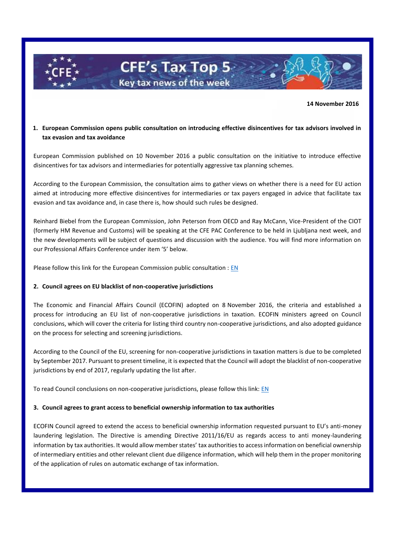

 **14 November 2016**

# **1. European Commission opens public consultation on introducing effective disincentives for tax advisors involved in tax evasion and tax avoidance**

European Commission published on 10 November 2016 a public consultation on the initiative to introduce effective disincentives for tax advisors and intermediaries for potentially aggressive tax planning schemes.

According to the European Commission, the consultation aims to gather views on whether there is a need for EU action aimed at introducing more effective disincentives for intermediaries or tax payers engaged in advice that facilitate tax evasion and tax avoidance and, in case there is, how should such rules be designed.

Reinhard Biebel from the European Commission, John Peterson from OECD and Ray McCann, Vice-President of the CIOT (formerly HM Revenue and Customs) will be speaking at the CFE PAC Conference to be held in Ljubljana next week, and the new developments will be subject of questions and discussion with the audience. You will find more information on our Professional Affairs Conference under item '5' below.

Please follow this link for the European Commission public consultation : [EN](https://ec.europa.eu/eusurvey/runner/intermediariestaxplanning)

## **2. Council agrees on EU blacklist of non-cooperative jurisdictions**

The Economic and Financial Affairs Council (ECOFIN) adopted on 8 November 2016, the criteria and established a process for introducing an EU list of non-cooperative jurisdictions in taxation. ECOFIN ministers agreed on Council conclusions, which will cover the criteria for listing third country non-cooperative jurisdictions, and also adopted guidance on the process for selecting and screening jurisdictions.

According to the Council of the EU, screening for non-cooperative jurisdictions in taxation matters is due to be completed by September 2017. Pursuant to present timeline, it is expected that the Council will adopt the blacklist of non-cooperative jurisdictions by end of 2017, regularly updating the list after.

To read Council conclusions on non-cooperative jurisdictions, please follow this link: [EN](http://www.consilium.europa.eu/en/press/press-releases/2016/11/pdf/08-Ecofin-non-coop-juris-st14166_en16_pdf/)

## **3. Council agrees to grant access to beneficial ownership information to tax authorities**

ECOFIN Council agreed to extend the access to beneficial ownership information requested pursuant to EU's anti-money laundering legislation. The Directive is amending Directive 2011/16/EU as regards access to anti money-laundering information by tax authorities. It would allow member states' tax authorities to access information on beneficial ownership of intermediary entities and other relevant client due diligence information, which will help them in the proper monitoring of the application of rules on automatic exchange of tax information.